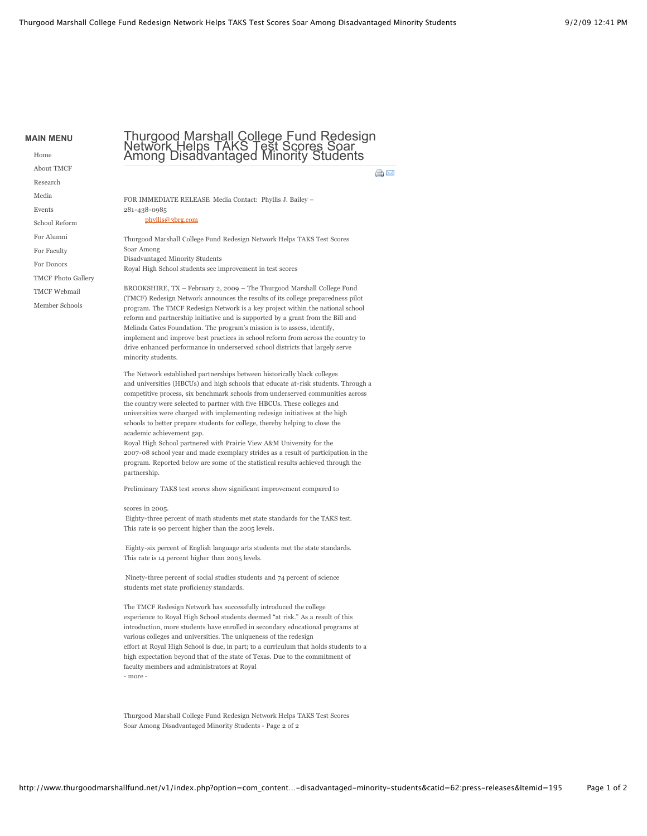**MAIN MENU** [Home](http://www.thurgoodmarshallfund.net/v1/)

> [About TMCF](http://www.thurgoodmarshallfund.net/v1/index.php?option=com_content&view=article&id=178:thurgood-marshall-college-fund-redesign-network-helps-taks-test-scores-soar-among-disadvantaged-minority-students&catid=62:press-releases&Itemid=195#) [Research](http://www.thurgoodmarshallfund.net/v1/index.php?option=com_content&view=article&id=178:thurgood-marshall-college-fund-redesign-network-helps-taks-test-scores-soar-among-disadvantaged-minority-students&catid=62:press-releases&Itemid=195#) [Media](http://www.thurgoodmarshallfund.net/v1/index.php?option=com_content&view=article&id=178:thurgood-marshall-college-fund-redesign-network-helps-taks-test-scores-soar-among-disadvantaged-minority-students&catid=62:press-releases&Itemid=195#) [Events](http://www.thurgoodmarshallfund.net/v1/index.php?option=com_content&view=article&id=178:thurgood-marshall-college-fund-redesign-network-helps-taks-test-scores-soar-among-disadvantaged-minority-students&catid=62:press-releases&Itemid=195#) [School Reform](http://www.tmcfschoolreform.com/) [For Alumni](http://www.thurgoodmarshallfund.net/v1/index.php?option=com_content&view=article&id=55&Itemid=187) [For Faculty](http://www.thurgoodmarshallfund.net/v1/index.php?option=com_content&view=article&id=54&Itemid=198) [For Donors](http://www.thurgoodmarshallfund.net/v1/index.php?option=com_content&view=category&layout=blog&id=48&Itemid=158) [TMCF Photo Gallery](http://www.thurgoodmarshallfund.net/v1/index.php?option=com_morfeoshow&Itemid=263) [TMCF Webmail](https://mail.tmcfund.org/exchange)

[Member Schools](http://www.thurgoodmarshallfund.net/v1/index.php?option=com_content&view=article&id=97&Itemid=295)

## Thurgood Marshall College Fund Redesign Network Helps TAKS Test Scores Soar Among Disadvantaged Minority Students

a m

FOR IMMEDIATE RELEASE Media Contact: Phyllis J. Bailey – 281-438-0985

[phyllis@3brg.com](mailto:phyllis@3brg.com)

Thurgood Marshall College Fund Redesign Network Helps TAKS Test Scores Soar Among Disadvantaged Minority Students Royal High School students see improvement in test scores

BROOKSHIRE, TX – February 2, 2009 – The Thurgood Marshall College Fund (TMCF) Redesign Network announces the results of its college preparedness pilot program. The TMCF Redesign Network is a key project within the national school reform and partnership initiative and is supported by a grant from the Bill and Melinda Gates Foundation. The program's mission is to assess, identify, implement and improve best practices in school reform from across the country to drive enhanced performance in underserved school districts that largely serve minority students.

The Network established partnerships between historically black colleges and universities (HBCUs) and high schools that educate at-risk students. Through a competitive process, six benchmark schools from underserved communities across the country were selected to partner with five HBCUs. These colleges and universities were charged with implementing redesign initiatives at the high schools to better prepare students for college, thereby helping to close the academic achievement gap.

Royal High School partnered with Prairie View A&M University for the 2007-08 school year and made exemplary strides as a result of participation in the program. Reported below are some of the statistical results achieved through the partnership.

Preliminary TAKS test scores show significant improvement compared to

scores in 2005.

 Eighty-three percent of math students met state standards for the TAKS test. This rate is 90 percent higher than the 2005 levels.

 Eighty-six percent of English language arts students met the state standards. This rate is 14 percent higher than 2005 levels.

 Ninety-three percent of social studies students and 74 percent of science students met state proficiency standards.

The TMCF Redesign Network has successfully introduced the college experience to Royal High School students deemed "at risk." As a result of this introduction, more students have enrolled in secondary educational programs at various colleges and universities. The uniqueness of the redesign effort at Royal High School is due, in part; to a curriculum that holds students to a high expectation beyond that of the state of Texas. Due to the commitment of faculty members and administrators at Royal - more -

Thurgood Marshall College Fund Redesign Network Helps TAKS Test Scores Soar Among Disadvantaged Minority Students - Page 2 of 2